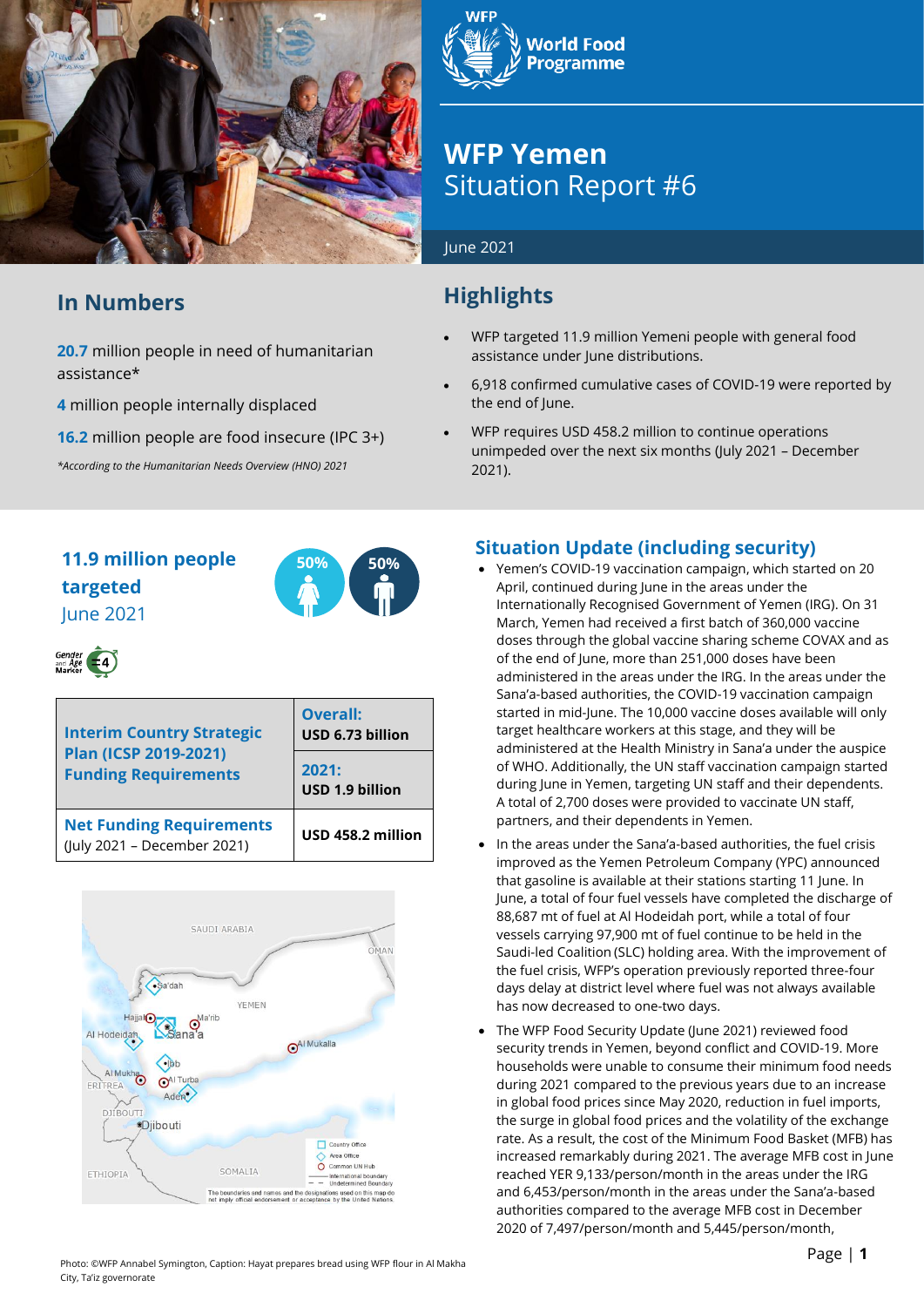

# **In Numbers**

**20.7** million people in need of humanitarian assistance\*

**4** million people internally displaced

**16.2** million people are food insecure (IPC 3+)

*\*According to the Humanitarian Needs Overview (HNO) 2021*

## **11.9 million people 50% 50% targeted** June 2021





| <b>Interim Country Strategic</b><br>Plan (ICSP 2019-2021)<br><b>Funding Requirements</b> | <b>Overall:</b><br>USD 6.73 billion |  |  |
|------------------------------------------------------------------------------------------|-------------------------------------|--|--|
|                                                                                          | 2021:<br>USD 1.9 billion            |  |  |
| <b>Net Funding Requirements</b><br>(July 2021 - December 2021)                           | USD 458.2 million                   |  |  |





# **WFP Yemen Situation Report #6**

#### June 2021

# **Highlights**

- WFP targeted 11.9 million Yemeni people with general food assistance under June distributions.
- 6,918 confirmed cumulative cases of COVID-19 were reported by the end of June.
- WFP requires USD 458.2 million to continue operations unimpeded over the next six months (July 2021 – December 2021).

#### **Situation Update (including security)**

- Yemen's COVID-19 vaccination campaign, which started on 20 April, continued during June in the areas under the Internationally Recognised Government of Yemen (IRG). On 31 March, Yemen had received a first batch of 360,000 vaccine doses through the global vaccine sharing scheme COVAX and as of the end of June, more than 251,000 doses have been administered in the areas under the IRG. In the areas under the Sana'a-based authorities, the COVID-19 vaccination campaign started in mid-June. The 10,000 vaccine doses available will only target healthcare workers at this stage, and they will be administered at the Health Ministry in Sana'a under the auspice of WHO. Additionally, the UN staff vaccination campaign started during June in Yemen, targeting UN staff and their dependents. A total of 2,700 doses were provided to vaccinate UN staff, partners, and their dependents in Yemen.
- In the areas under the Sana'a-based authorities, the fuel crisis improved as the Yemen Petroleum Company (YPC) announced that gasoline is available at their stations starting 11 June. In June, a total of four fuel vessels have completed the discharge of 88,687 mt of fuel at Al Hodeidah port, while a total of four vessels carrying 97,900 mt of fuel continue to be held in the Saudi-led Coalition (SLC) holding area. With the improvement of the fuel crisis, WFP's operation previously reported three-four days delay at district level where fuel was not always available has now decreased to one-two days.
- The WFP Food Security Update (June 2021) reviewed food security trends in Yemen, beyond conflict and COVID-19. More households were unable to consume their minimum food needs during 2021 compared to the previous years due to an increase in global food prices since May 2020, reduction in fuel imports, the surge in global food prices and the volatility of the exchange rate. As a result, the cost of the Minimum Food Basket (MFB) has increased remarkably during 2021. The average MFB cost in June reached YER 9,133/person/month in the areas under the IRG and 6,453/person/month in the areas under the Sana'a-based authorities compared to the average MFB cost in December 2020 of 7,497/person/month and 5,445/person/month,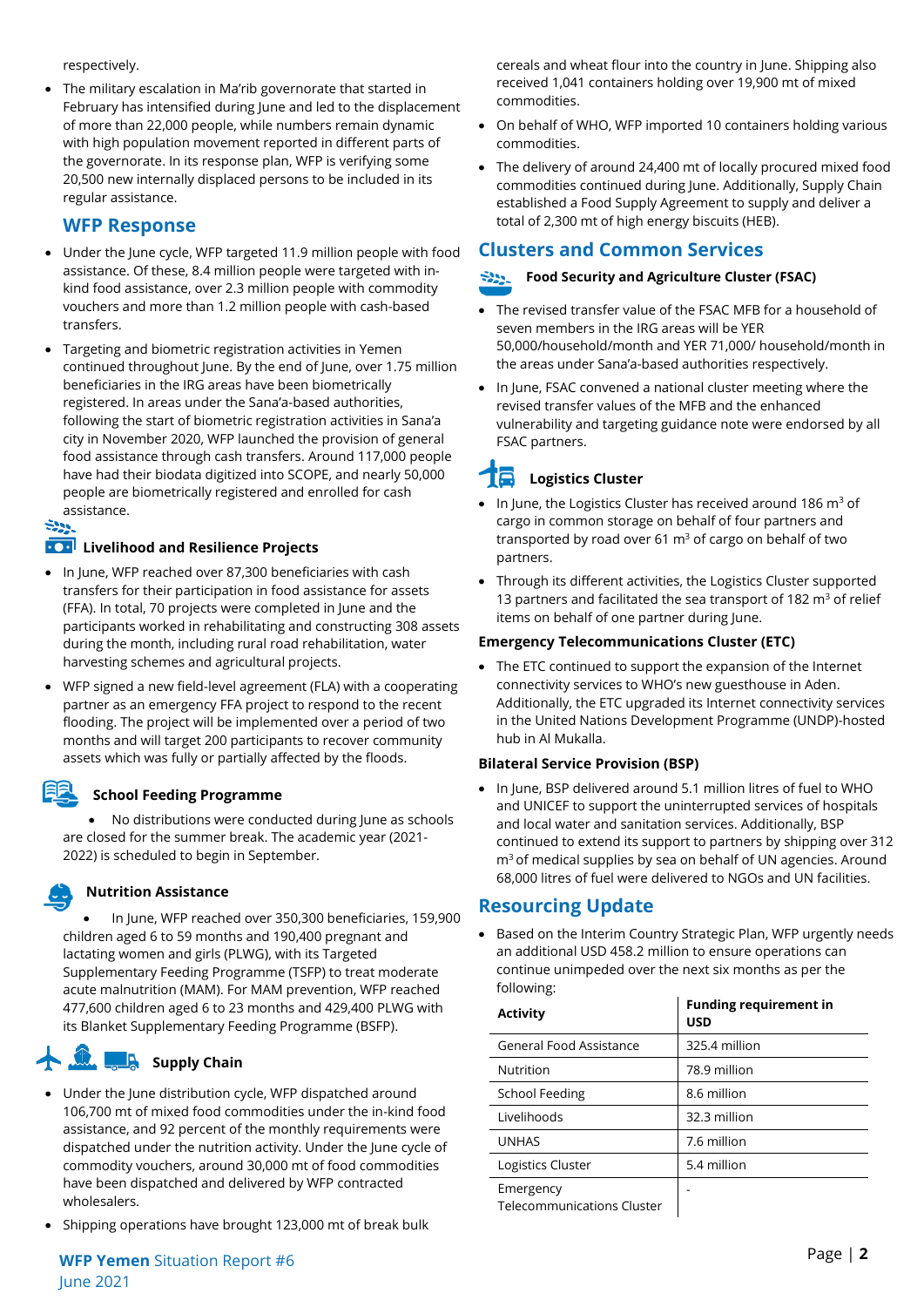respectively.

• The military escalation in Ma'rib governorate that started in February has intensified during June and led to the displacement of more than 22,000 people, while numbers remain dynamic with high population movement reported in different parts of the governorate. In its response plan, WFP is verifying some 20,500 new internally displaced persons to be included in its regular assistance.

### **WFP Response**

- Under the June cycle, WFP targeted 11.9 million people with food assistance. Of these, 8.4 million people were targeted with inkind food assistance, over 2.3 million people with commodity vouchers and more than 1.2 million people with cash-based transfers.
- Targeting and biometric registration activities in Yemen continued throughout lune. By the end of lune, over 1.75 million beneficiaries in the IRG areas have been biometrically registered. In areas under the Sana'a-based authorities, following the start of biometric registration activities in Sana'a city in November 2020, WFP launched the provision of general food assistance through cash transfers. Around 117,000 people have had their biodata digitized into SCOPE, and nearly 50,000 people are biometrically registered and enrolled for cash assistance.

#### **100** Livelihood and Resilience Projects

- In June, WFP reached over 87,300 beneficiaries with cash transfers for their participation in food assistance for assets (FFA). In total, 70 projects were completed in June and the participants worked in rehabilitating and constructing 308 assets during the month, including rural road rehabilitation, water harvesting schemes and agricultural projects.
- WFP signed a new field-level agreement (FLA) with a cooperating partner as an emergency FFA project to respond to the recent flooding. The project will be implemented over a period of two months and will target 200 participants to recover community assets which was fully or partially affected by the floods.

#### **School Feeding Programme**

• No distributions were conducted during June as schools are closed for the summer break. The academic year (2021- 2022) is scheduled to begin in September.

#### **Nutrition Assistance**

• In June, WFP reached over 350,300 beneficiaries, 159,900 children aged 6 to 59 months and 190,400 pregnant and lactating women and girls (PLWG), with its Targeted Supplementary Feeding Programme (TSFP) to treat moderate acute malnutrition (MAM). For MAM prevention, WFP reached 477,600 children aged 6 to 23 months and 429,400 PLWG with its Blanket Supplementary Feeding Programme (BSFP).

## **Supply Chain**

- Under the June distribution cycle, WFP dispatched around 106,700 mt of mixed food commodities under the in-kind food assistance, and 92 percent of the monthly requirements were dispatched under the nutrition activity. Under the June cycle of commodity vouchers, around 30,000 mt of food commodities have been dispatched and delivered by WFP contracted wholesalers.
- Shipping operations have brought 123,000 mt of break bulk

**WFP** Page | **<sup>2</sup> Yemen** Situation Report #6 June 2021

cereals and wheat flour into the country in June. Shipping also received 1,041 containers holding over 19,900 mt of mixed commodities.

- On behalf of WHO, WFP imported 10 containers holding various commodities.
- The delivery of around 24,400 mt of locally procured mixed food commodities continued during June. Additionally, Supply Chain established a Food Supply Agreement to supply and deliver a total of 2,300 mt of high energy biscuits (HEB).

### **Clusters and Common Services**

#### $-2288$ **Food Security and Agriculture Cluster (FSAC)**

- The revised transfer value of the FSAC MFB for a household of seven members in the IRG areas will be YER 50,000/household/month and YER 71,000/ household/month in the areas under Sana'a-based authorities respectively.
- In June, FSAC convened a national cluster meeting where the revised transfer values of the MFB and the enhanced vulnerability and targeting guidance note were endorsed by all FSAC partners.

#### 18 **Logistics Cluster**

- In June, the Logistics Cluster has received around 186 m<sup>3</sup> of cargo in common storage on behalf of four partners and transported by road over 61  $\text{m}^3$  of cargo on behalf of two partners.
- Through its different activities, the Logistics Cluster supported 13 partners and facilitated the sea transport of 182  $m<sup>3</sup>$  of relief items on behalf of one partner during June.

#### **Emergency Telecommunications Cluster (ETC)**

• The ETC continued to support the expansion of the Internet connectivity services to WHO's new guesthouse in Aden. Additionally, the ETC upgraded its Internet connectivity services in the United Nations Development Programme (UNDP)-hosted hub in Al Mukalla.

#### **Bilateral Service Provision (BSP)**

• In June, BSP delivered around 5.1 million litres of fuel to WHO and UNICEF to support the uninterrupted services of hospitals and local water and sanitation services. Additionally, BSP continued to extend its support to partners by shipping over 312 m<sup>3</sup> of medical supplies by sea on behalf of UN agencies. Around 68,000 litres of fuel were delivered to NGOs and UN facilities.

#### **Resourcing Update**

• Based on the Interim Country Strategic Plan, WFP urgently needs an additional USD 458.2 million to ensure operations can continue unimpeded over the next six months as per the following:

| <b>Activity</b>                                | <b>Funding requirement in</b><br><b>USD</b> |
|------------------------------------------------|---------------------------------------------|
| General Food Assistance                        | 325.4 million                               |
| Nutrition                                      | 78.9 million                                |
| School Feeding                                 | 8.6 million                                 |
| Livelihoods                                    | 32.3 million                                |
| <b>UNHAS</b>                                   | 7.6 million                                 |
| Logistics Cluster                              | 5.4 million                                 |
| Emergency<br><b>Telecommunications Cluster</b> |                                             |